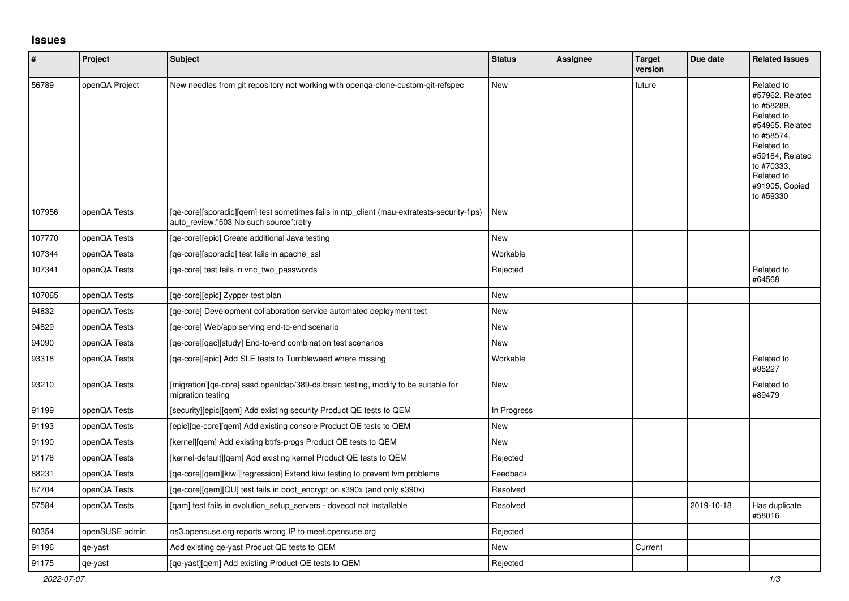## **Issues**

| $\pmb{\#}$ | Project        | Subject                                                                                                                              | <b>Status</b> | <b>Assignee</b> | <b>Target</b><br>version | Due date   | <b>Related issues</b>                                                                                                                                                                  |
|------------|----------------|--------------------------------------------------------------------------------------------------------------------------------------|---------------|-----------------|--------------------------|------------|----------------------------------------------------------------------------------------------------------------------------------------------------------------------------------------|
| 56789      | openQA Project | New needles from git repository not working with openqa-clone-custom-git-refspec                                                     | New           |                 | future                   |            | Related to<br>#57962, Related<br>to #58289,<br>Related to<br>#54965, Related<br>to #58574.<br>Related to<br>#59184, Related<br>to #70333.<br>Related to<br>#91905, Copied<br>to #59330 |
| 107956     | openQA Tests   | [ge-core][sporadic][gem] test sometimes fails in ntp client (mau-extratests-security-fips)<br>auto review:"503 No such source":retry | New           |                 |                          |            |                                                                                                                                                                                        |
| 107770     | openQA Tests   | [qe-core][epic] Create additional Java testing                                                                                       | New           |                 |                          |            |                                                                                                                                                                                        |
| 107344     | openQA Tests   | [qe-core][sporadic] test fails in apache_ssl                                                                                         | Workable      |                 |                          |            |                                                                                                                                                                                        |
| 107341     | openQA Tests   | [ge-core] test fails in vnc two passwords                                                                                            | Rejected      |                 |                          |            | Related to<br>#64568                                                                                                                                                                   |
| 107065     | openQA Tests   | [ge-core][epic] Zypper test plan                                                                                                     | New           |                 |                          |            |                                                                                                                                                                                        |
| 94832      | openQA Tests   | [ge-core] Development collaboration service automated deployment test                                                                | <b>New</b>    |                 |                          |            |                                                                                                                                                                                        |
| 94829      | openQA Tests   | [qe-core] Web/app serving end-to-end scenario                                                                                        | New           |                 |                          |            |                                                                                                                                                                                        |
| 94090      | openQA Tests   | [qe-core][qac][study] End-to-end combination test scenarios                                                                          | New           |                 |                          |            |                                                                                                                                                                                        |
| 93318      | openQA Tests   | [qe-core][epic] Add SLE tests to Tumbleweed where missing                                                                            | Workable      |                 |                          |            | Related to<br>#95227                                                                                                                                                                   |
| 93210      | openQA Tests   | [migration][ge-core] sssd open dap/389-ds basic testing, modify to be suitable for<br>migration testing                              | <b>New</b>    |                 |                          |            | Related to<br>#89479                                                                                                                                                                   |
| 91199      | openQA Tests   | [security][epic][qem] Add existing security Product QE tests to QEM                                                                  | In Progress   |                 |                          |            |                                                                                                                                                                                        |
| 91193      | openQA Tests   | [epic][qe-core][qem] Add existing console Product QE tests to QEM                                                                    | New           |                 |                          |            |                                                                                                                                                                                        |
| 91190      | openQA Tests   | [kernel][qem] Add existing btrfs-progs Product QE tests to QEM                                                                       | New           |                 |                          |            |                                                                                                                                                                                        |
| 91178      | openQA Tests   | [kernel-default][gem] Add existing kernel Product QE tests to QEM                                                                    | Rejected      |                 |                          |            |                                                                                                                                                                                        |
| 88231      | openQA Tests   | [ge-core][gem][kiwi][regression] Extend kiwi testing to prevent lym problems                                                         | Feedback      |                 |                          |            |                                                                                                                                                                                        |
| 87704      | openQA Tests   | [qe-core][qem][QU] test fails in boot_encrypt on s390x (and only s390x)                                                              | Resolved      |                 |                          |            |                                                                                                                                                                                        |
| 57584      | openQA Tests   | [qam] test fails in evolution_setup_servers - dovecot not installable                                                                | Resolved      |                 |                          | 2019-10-18 | Has duplicate<br>#58016                                                                                                                                                                |
| 80354      | openSUSE admin | ns3.opensuse.org reports wrong IP to meet.opensuse.org                                                                               | Rejected      |                 |                          |            |                                                                                                                                                                                        |
| 91196      | qe-yast        | Add existing qe-yast Product QE tests to QEM                                                                                         | <b>New</b>    |                 | Current                  |            |                                                                                                                                                                                        |
| 91175      | qe-yast        | [ge-yast][gem] Add existing Product QE tests to QEM                                                                                  | Rejected      |                 |                          |            |                                                                                                                                                                                        |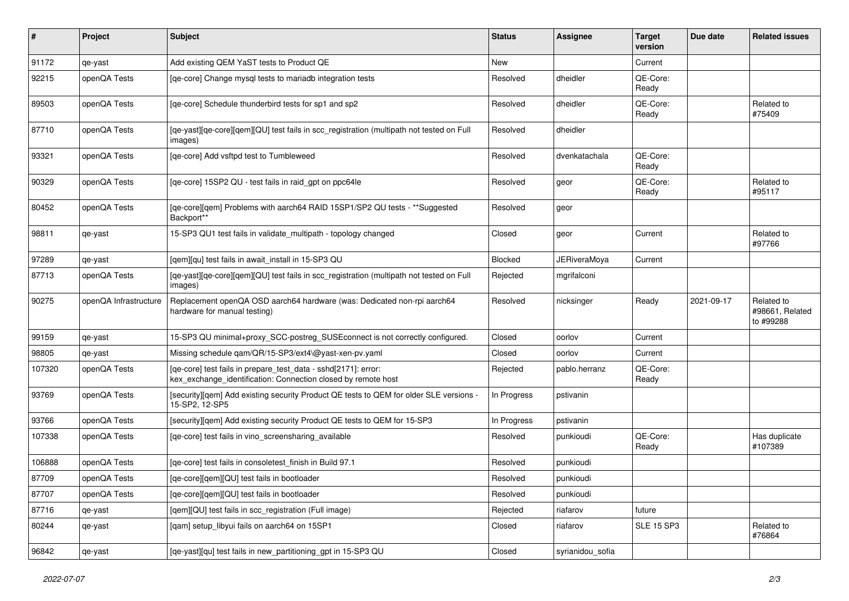| $\sharp$ | Project               | Subject                                                                                                                         | <b>Status</b> | <b>Assignee</b>     | <b>Target</b><br>version | Due date   | <b>Related issues</b>                      |
|----------|-----------------------|---------------------------------------------------------------------------------------------------------------------------------|---------------|---------------------|--------------------------|------------|--------------------------------------------|
| 91172    | qe-yast               | Add existing QEM YaST tests to Product QE                                                                                       | <b>New</b>    |                     | Current                  |            |                                            |
| 92215    | openQA Tests          | [ge-core] Change mysql tests to mariadb integration tests                                                                       | Resolved      | dheidler            | QE-Core:<br>Ready        |            |                                            |
| 89503    | openQA Tests          | [qe-core] Schedule thunderbird tests for sp1 and sp2                                                                            | Resolved      | dheidler            | QE-Core:<br>Ready        |            | Related to<br>#75409                       |
| 87710    | openQA Tests          | [qe-yast][qe-core][qem][QU] test fails in scc_registration (multipath not tested on Full<br>images)                             | Resolved      | dheidler            |                          |            |                                            |
| 93321    | openQA Tests          | [qe-core] Add vsftpd test to Tumbleweed                                                                                         | Resolved      | dvenkatachala       | QE-Core:<br>Ready        |            |                                            |
| 90329    | openQA Tests          | [qe-core] 15SP2 QU - test fails in raid_gpt on ppc64le                                                                          | Resolved      | geor                | QE-Core:<br>Ready        |            | Related to<br>#95117                       |
| 80452    | openQA Tests          | [qe-core][qem] Problems with aarch64 RAID 15SP1/SP2 QU tests - **Suggested<br>Backport**                                        | Resolved      | geor                |                          |            |                                            |
| 98811    | qe-yast               | 15-SP3 QU1 test fails in validate_multipath - topology changed                                                                  | Closed        | geor                | Current                  |            | Related to<br>#97766                       |
| 97289    | qe-yast               | [gem][qu] test fails in await_install in 15-SP3 QU                                                                              | Blocked       | <b>JERiveraMoya</b> | Current                  |            |                                            |
| 87713    | openQA Tests          | [qe-yast][qe-core][qem][QU] test fails in scc_registration (multipath not tested on Full<br>images)                             | Rejected      | mgrifalconi         |                          |            |                                            |
| 90275    | openQA Infrastructure | Replacement openQA OSD aarch64 hardware (was: Dedicated non-rpi aarch64<br>hardware for manual testing)                         | Resolved      | nicksinger          | Ready                    | 2021-09-17 | Related to<br>#98661, Related<br>to #99288 |
| 99159    | qe-yast               | 15-SP3 QU minimal+proxy_SCC-postreg_SUSEconnect is not correctly configured.                                                    | Closed        | oorlov              | Current                  |            |                                            |
| 98805    | qe-yast               | Missing schedule qam/QR/15-SP3/ext4\@yast-xen-pv.yaml                                                                           | Closed        | oorlov              | Current                  |            |                                            |
| 107320   | openQA Tests          | [qe-core] test fails in prepare_test_data - sshd[2171]: error:<br>kex_exchange_identification: Connection closed by remote host | Rejected      | pablo.herranz       | QE-Core:<br>Ready        |            |                                            |
| 93769    | openQA Tests          | [security][qem] Add existing security Product QE tests to QEM for older SLE versions -<br>15-SP2, 12-SP5                        | In Progress   | pstivanin           |                          |            |                                            |
| 93766    | openQA Tests          | [security][qem] Add existing security Product QE tests to QEM for 15-SP3                                                        | In Progress   | pstivanin           |                          |            |                                            |
| 107338   | openQA Tests          | [qe-core] test fails in vino_screensharing_available                                                                            | Resolved      | punkioudi           | QE-Core:<br>Ready        |            | Has duplicate<br>#107389                   |
| 106888   | openQA Tests          | [qe-core] test fails in consoletest_finish in Build 97.1                                                                        | Resolved      | punkioudi           |                          |            |                                            |
| 87709    | openQA Tests          | [qe-core][qem][QU] test fails in bootloader                                                                                     | Resolved      | punkioudi           |                          |            |                                            |
| 87707    | openQA Tests          | [qe-core][qem][QU] test fails in bootloader                                                                                     | Resolved      | punkioudi           |                          |            |                                            |
| 87716    | qe-yast               | [qem][QU] test fails in scc_registration (Full image)                                                                           | Rejected      | riafarov            | future                   |            |                                            |
| 80244    | qe-yast               | [qam] setup_libyui fails on aarch64 on 15SP1                                                                                    | Closed        | riafarov            | <b>SLE 15 SP3</b>        |            | Related to<br>#76864                       |
| 96842    | qe-yast               | [qe-yast][qu] test fails in new_partitioning_gpt in 15-SP3 QU                                                                   | Closed        | syrianidou_sofia    |                          |            |                                            |